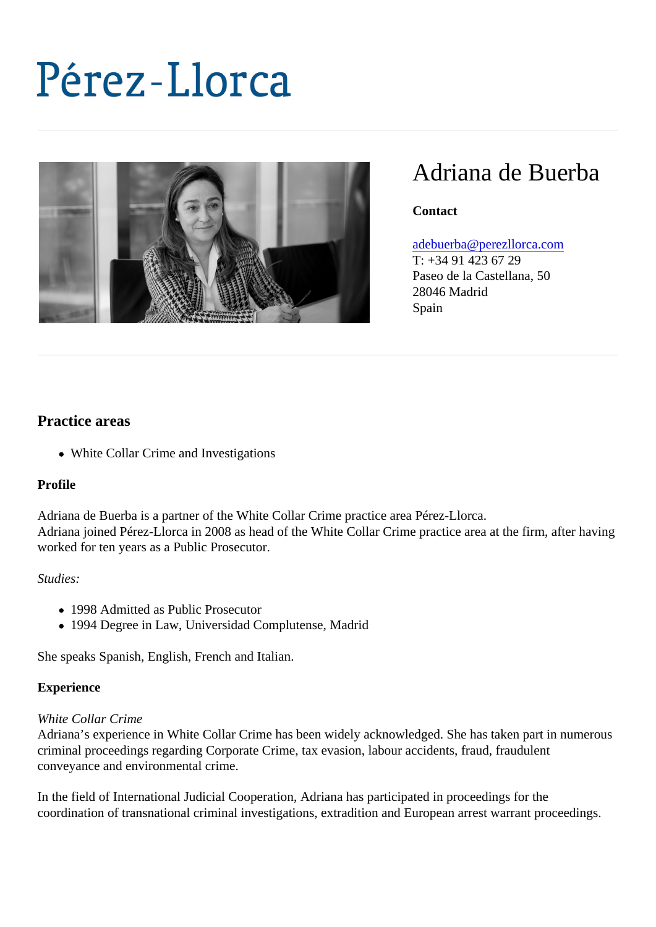# Adriana de Buerba

**Contact** 

[adebuerba@perezllorca.c](mailto:adebuerba@perezllorca.com)om

T: +34 91 423 67 29 Paseo de la Castellana, 50 28046 Madrid Spain

## Practice areas

White Collar Crime and Investigations

## Profile

Adriana de Buerba is a partner of the White Collar Crime practice area Pérez-Llorca. Adriana joined Pérez-Llorca in 2008 as head of the White Collar Crime practice area at the filma vafter worked for ten years as a Public Prosecutor.

## Studies:

- 1998 Admitted as Public Prosecutor
- 1994 Degree in Law, Universidad Complutense, Madrid

She speaks Spanish, English, French and Italian.

## **Experience**

## White Collar Crime

Adriana's experience in White Collar Crime has been widely acknowledged. She has taken paetrous criminal proceedings regarding Corporate Crime, tax evasion, labour accidents, fraud, fraudulent conveyance and environmental crime.

In the field of International Judicial Cooperation, Adriana has participated in proceedings for the coordination of transnational criminal investigations, extradition and European arrest warrant proceedings.